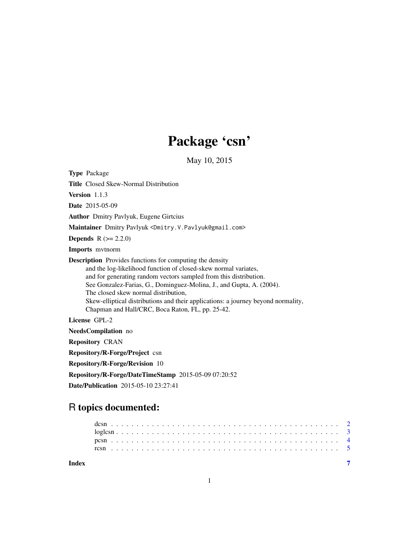## Package 'csn'

May 10, 2015

<span id="page-0-0"></span>

| <b>Type Package</b>                                                                                                                                                                                                                                                                                                                                                                                                                                              |
|------------------------------------------------------------------------------------------------------------------------------------------------------------------------------------------------------------------------------------------------------------------------------------------------------------------------------------------------------------------------------------------------------------------------------------------------------------------|
| <b>Title</b> Closed Skew-Normal Distribution                                                                                                                                                                                                                                                                                                                                                                                                                     |
| Version 1.1.3                                                                                                                                                                                                                                                                                                                                                                                                                                                    |
| <b>Date</b> 2015-05-09                                                                                                                                                                                                                                                                                                                                                                                                                                           |
| <b>Author</b> Dmitry Pavlyuk, Eugene Girtcius                                                                                                                                                                                                                                                                                                                                                                                                                    |
| Maintainer Dmitry Pavlyuk <dmitry. pavlyuk@gmail.com="" v.=""></dmitry.>                                                                                                                                                                                                                                                                                                                                                                                         |
| <b>Depends</b> $R (= 2.2.0)$                                                                                                                                                                                                                                                                                                                                                                                                                                     |
| <b>Imports</b> mythorm                                                                                                                                                                                                                                                                                                                                                                                                                                           |
| <b>Description</b> Provides functions for computing the density<br>and the log-likelihood function of closed-skew normal variates,<br>and for generating random vectors sampled from this distribution.<br>See Gonzalez-Farias, G., Dominguez-Molina, J., and Gupta, A. (2004).<br>The closed skew normal distribution,<br>Skew-elliptical distributions and their applications: a journey beyond normality,<br>Chapman and Hall/CRC, Boca Raton, FL, pp. 25-42. |
| License GPL-2                                                                                                                                                                                                                                                                                                                                                                                                                                                    |
| NeedsCompilation no                                                                                                                                                                                                                                                                                                                                                                                                                                              |
| <b>Repository CRAN</b>                                                                                                                                                                                                                                                                                                                                                                                                                                           |
| Repository/R-Forge/Project csn                                                                                                                                                                                                                                                                                                                                                                                                                                   |
| <b>Repository/R-Forge/Revision 10</b>                                                                                                                                                                                                                                                                                                                                                                                                                            |
| Repository/R-Forge/DateTimeStamp 2015-05-09 07:20:52                                                                                                                                                                                                                                                                                                                                                                                                             |
| Date/Publication 2015-05-10 23:27:41                                                                                                                                                                                                                                                                                                                                                                                                                             |

### R topics documented:

| Index |  |  |  |  |  |  |  |  |  |  |  |  |  |  |  |  |  |  |  |  |  |  |  |
|-------|--|--|--|--|--|--|--|--|--|--|--|--|--|--|--|--|--|--|--|--|--|--|--|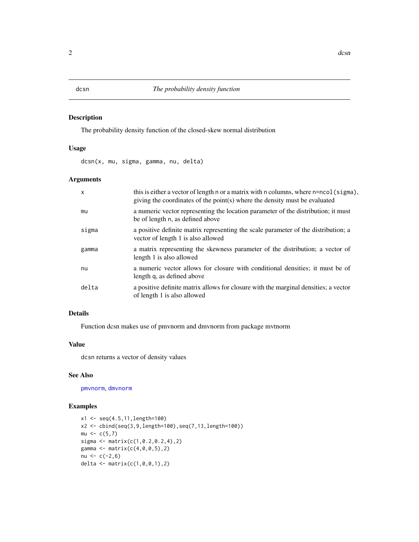#### <span id="page-1-0"></span>Description

The probability density function of the closed-skew normal distribution

#### Usage

dcsn(x, mu, sigma, gamma, nu, delta)

#### Arguments

| $\mathsf{x}$ | this is either a vector of length n or a matrix with n columns, where n=ncol(sigma),<br>giving the coordinates of the point(s) where the density must be evaluated |
|--------------|--------------------------------------------------------------------------------------------------------------------------------------------------------------------|
| mu           | a numeric vector representing the location parameter of the distribution; it must<br>be of length n, as defined above                                              |
| sigma        | a positive definite matrix representing the scale parameter of the distribution; a<br>vector of length 1 is also allowed                                           |
| gamma        | a matrix representing the skewness parameter of the distribution; a vector of<br>length 1 is also allowed                                                          |
| nu           | a numeric vector allows for closure with conditional densities; it must be of<br>length q, as defined above                                                        |
| delta        | a positive definite matrix allows for closure with the marginal densities; a vector<br>of length 1 is also allowed                                                 |

#### Details

Function dcsn makes use of pmvnorm and dmvnorm from package mvtnorm

#### Value

dcsn returns a vector of density values

#### See Also

[pmvnorm](#page-0-0), [dmvnorm](#page-0-0)

#### Examples

```
x1 \leftarrow \text{seq}(4.5, 11, \text{length}=100)x2 <- cbind(seq(3,9,length=100),seq(7,13,length=100))
mu < -c(5,7)sigma <- matrix(c(1,0.2,0.2,4),2)
gamma <- matrix(c(4, 0, 0, 5), 2)nu <-c(-2,6)delta <- matrix(c(1, 0, 0, 1), 2)
```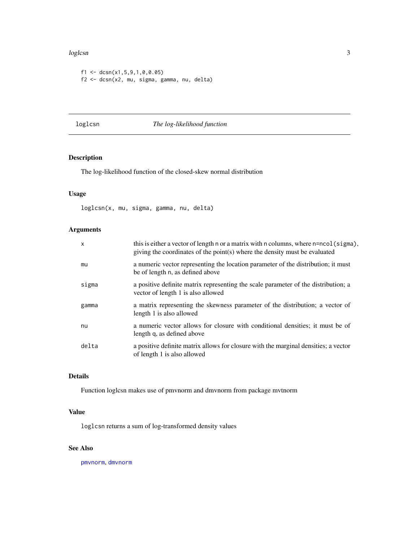#### <span id="page-2-0"></span>loglcsn 3

```
f1 <- dcsn(x1,5,9,1,0,0.05)f2 <- dcsn(x2, mu, sigma, gamma, nu, delta)
```
### loglcsn *The log-likelihood function*

#### Description

The log-likelihood function of the closed-skew normal distribution

#### Usage

loglcsn(x, mu, sigma, gamma, nu, delta)

#### Arguments

| $\mathsf{x}$ | this is either a vector of length n or a matrix with n columns, where n=ncol(sigma),<br>giving the coordinates of the point(s) where the density must be evaluated |
|--------------|--------------------------------------------------------------------------------------------------------------------------------------------------------------------|
| mu           | a numeric vector representing the location parameter of the distribution; it must<br>be of length n, as defined above                                              |
| sigma        | a positive definite matrix representing the scale parameter of the distribution; a<br>vector of length 1 is also allowed                                           |
| gamma        | a matrix representing the skewness parameter of the distribution; a vector of<br>length 1 is also allowed                                                          |
| nu           | a numeric vector allows for closure with conditional densities; it must be of<br>length q, as defined above                                                        |
| delta        | a positive definite matrix allows for closure with the marginal densities; a vector<br>of length 1 is also allowed                                                 |
|              |                                                                                                                                                                    |

#### Details

Function loglcsn makes use of pmvnorm and dmvnorm from package mvtnorm

#### Value

loglcsn returns a sum of log-transformed density values

#### See Also

[pmvnorm](#page-0-0), [dmvnorm](#page-0-0)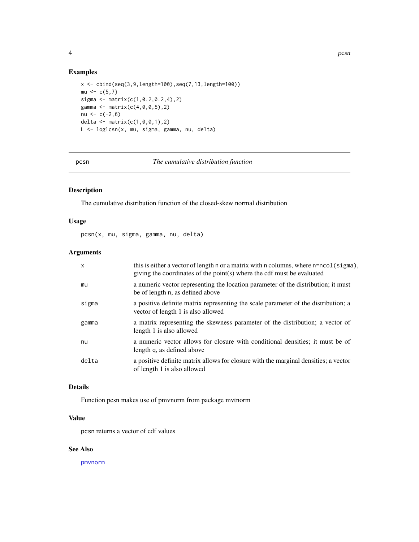<span id="page-3-0"></span>

#### Examples

```
x \le - \text{bind}(\text{seq}(3, 9, \text{length}=100), \text{seq}(7, 13, \text{length}=100))mu < -c(5,7)sigma \leq matrix(c(1, 0.2, 0.2, 4), 2)
gamma <- matrix(c(4,0,0,5),2)
nu < -c(-2, 6)delta <- matrix(c(1,0,0,1),2)
L <- loglcsn(x, mu, sigma, gamma, nu, delta)
```
pcsn *The cumulative distribution function*

#### Description

The cumulative distribution function of the closed-skew normal distribution

#### Usage

pcsn(x, mu, sigma, gamma, nu, delta)

#### Arguments

| $\mathsf{x}$ | this is either a vector of length n or a matrix with n columns, where $n = n = o($ (sigma),<br>giving the coordinates of the point(s) where the cdf must be evaluated |
|--------------|-----------------------------------------------------------------------------------------------------------------------------------------------------------------------|
| mu           | a numeric vector representing the location parameter of the distribution; it must<br>be of length n, as defined above                                                 |
| sigma        | a positive definite matrix representing the scale parameter of the distribution; a<br>vector of length 1 is also allowed                                              |
| gamma        | a matrix representing the skewness parameter of the distribution; a vector of<br>length 1 is also allowed                                                             |
| nu           | a numeric vector allows for closure with conditional densities; it must be of<br>length q, as defined above                                                           |
| delta        | a positive definite matrix allows for closure with the marginal densities; a vector<br>of length 1 is also allowed                                                    |

#### Details

Function pcsn makes use of pmvnorm from package mvtnorm

### Value

pcsn returns a vector of cdf values

#### See Also

[pmvnorm](#page-0-0)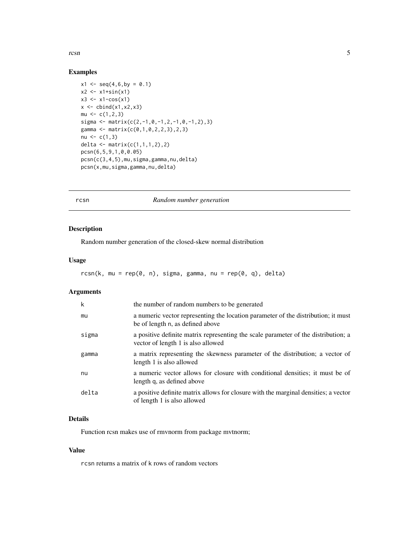#### <span id="page-4-0"></span>rcsn 5

#### Examples

```
x1 \leq -\text{seq}(4, 6, \text{by} = 0.1)x2 \le -x1 + sin(x1)x3 \leq x1 - \cos(x1)x \leftarrow \text{cbind}(x1, x2, x3)mu \leftarrow c(1, 2, 3)sigma <- matrix(c(2,-1,0,-1,2,-1,0,-1,2),3)
gamma <- matrix(c(0,1,0,2,2,3),2,3)
nu <-c(1,3)delta \leq matrix(c(1,1,1,2), 2)
pcsn(6,5,9,1,0,0.05)
pcsn(c(3,4,5),mu,sigma,gamma,nu,delta)
pcsn(x,mu,sigma,gamma,nu,delta)
```
#### rcsn *Random number generation*

#### Description

Random number generation of the closed-skew normal distribution

#### Usage

 $rcsn(k, mu = rep(0, n), sigma, gamma, nu = rep(0, q), delta)$ 

#### Arguments

| $\mathsf{k}$ | the number of random numbers to be generated                                                                             |
|--------------|--------------------------------------------------------------------------------------------------------------------------|
| mu           | a numeric vector representing the location parameter of the distribution; it must<br>be of length n, as defined above    |
| sigma        | a positive definite matrix representing the scale parameter of the distribution; a<br>vector of length 1 is also allowed |
| gamma        | a matrix representing the skewness parameter of the distribution; a vector of<br>length 1 is also allowed                |
| nu           | a numeric vector allows for closure with conditional densities; it must be of<br>length q, as defined above              |
| delta        | a positive definite matrix allows for closure with the marginal densities; a vector<br>of length 1 is also allowed       |

#### Details

Function rcsn makes use of rmvnorm from package mvtnorm;

#### Value

rcsn returns a matrix of k rows of random vectors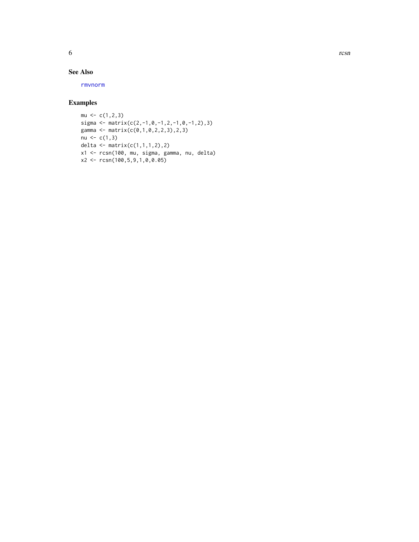<span id="page-5-0"></span>

#### See Also

[rmvnorm](#page-0-0)

#### Examples

```
mu \leftarrow c(1, 2, 3)sigma <- matrix(c(2,-1,0,-1,2,-1,0,-1,2),3)
gamma <- matrix(c(0,1,0,2,2,3),2,3)
nu < -c(1,3)delta <- matrix(c(1,1,1,2),2)
x1 <- rcsn(100, mu, sigma, gamma, nu, delta)
x2 <- rcsn(100,5,9,1,0,0.05)
```